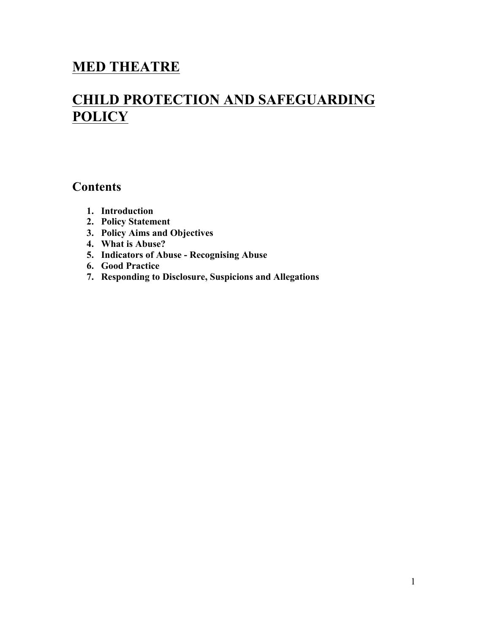## **MED THEATRE**

# **CHILD PROTECTION AND SAFEGUARDING POLICY**

### **Contents**

- **1. Introduction**
- **2. Policy Statement**
- **3. Policy Aims and Objectives**
- **4. What is Abuse?**
- **5. Indicators of Abuse - Recognising Abuse**
- **6. Good Practice**
- **7. Responding to Disclosure, Suspicions and Allegations**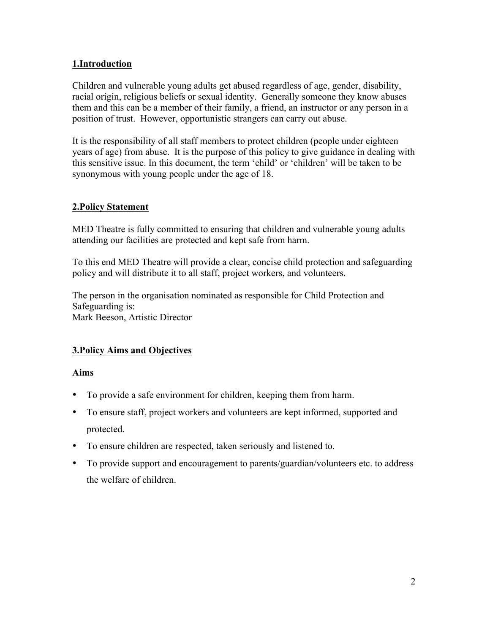#### **1.Introduction**

Children and vulnerable young adults get abused regardless of age, gender, disability, racial origin, religious beliefs or sexual identity. Generally someone they know abuses them and this can be a member of their family, a friend, an instructor or any person in a position of trust. However, opportunistic strangers can carry out abuse.

It is the responsibility of all staff members to protect children (people under eighteen years of age) from abuse. It is the purpose of this policy to give guidance in dealing with this sensitive issue. In this document, the term 'child' or 'children' will be taken to be synonymous with young people under the age of 18.

#### **2.Policy Statement**

MED Theatre is fully committed to ensuring that children and vulnerable young adults attending our facilities are protected and kept safe from harm.

To this end MED Theatre will provide a clear, concise child protection and safeguarding policy and will distribute it to all staff, project workers, and volunteers.

The person in the organisation nominated as responsible for Child Protection and Safeguarding is: Mark Beeson, Artistic Director

#### **3.Policy Aims and Objectives**

#### **Aims**

- To provide a safe environment for children, keeping them from harm.
- To ensure staff, project workers and volunteers are kept informed, supported and protected.
- To ensure children are respected, taken seriously and listened to.
- To provide support and encouragement to parents/guardian/volunteers etc. to address the welfare of children.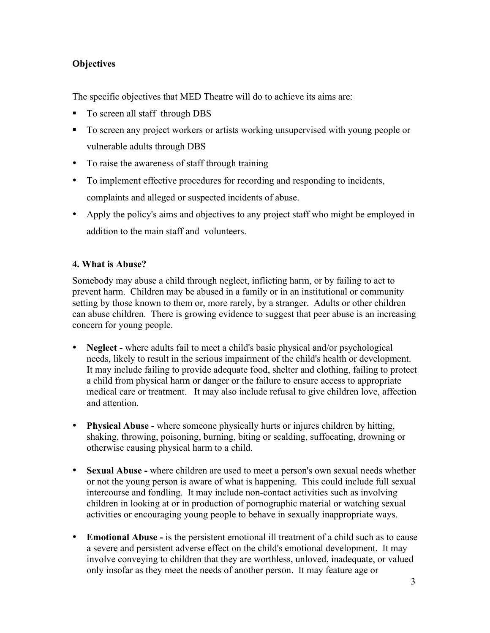#### **Objectives**

The specific objectives that MED Theatre will do to achieve its aims are:

- To screen all staff through DBS
- To screen any project workers or artists working unsupervised with young people or vulnerable adults through DBS
- To raise the awareness of staff through training
- To implement effective procedures for recording and responding to incidents, complaints and alleged or suspected incidents of abuse.
- Apply the policy's aims and objectives to any project staff who might be employed in addition to the main staff and volunteers.

#### **4. What is Abuse?**

Somebody may abuse a child through neglect, inflicting harm, or by failing to act to prevent harm. Children may be abused in a family or in an institutional or community setting by those known to them or, more rarely, by a stranger. Adults or other children can abuse children. There is growing evidence to suggest that peer abuse is an increasing concern for young people.

- **Neglect -** where adults fail to meet a child's basic physical and/or psychological needs, likely to result in the serious impairment of the child's health or development. It may include failing to provide adequate food, shelter and clothing, failing to protect a child from physical harm or danger or the failure to ensure access to appropriate medical care or treatment. It may also include refusal to give children love, affection and attention.
- **Physical Abuse -** where someone physically hurts or injures children by hitting, shaking, throwing, poisoning, burning, biting or scalding, suffocating, drowning or otherwise causing physical harm to a child.
- **Sexual Abuse -** where children are used to meet a person's own sexual needs whether or not the young person is aware of what is happening. This could include full sexual intercourse and fondling. It may include non-contact activities such as involving children in looking at or in production of pornographic material or watching sexual activities or encouraging young people to behave in sexually inappropriate ways.
- **Emotional Abuse -** is the persistent emotional ill treatment of a child such as to cause a severe and persistent adverse effect on the child's emotional development. It may involve conveying to children that they are worthless, unloved, inadequate, or valued only insofar as they meet the needs of another person. It may feature age or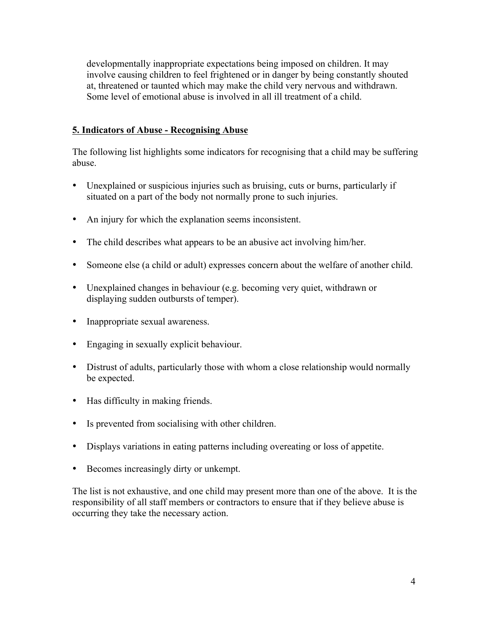developmentally inappropriate expectations being imposed on children. It may involve causing children to feel frightened or in danger by being constantly shouted at, threatened or taunted which may make the child very nervous and withdrawn. Some level of emotional abuse is involved in all ill treatment of a child.

#### **5. Indicators of Abuse - Recognising Abuse**

The following list highlights some indicators for recognising that a child may be suffering abuse.

- Unexplained or suspicious injuries such as bruising, cuts or burns, particularly if situated on a part of the body not normally prone to such injuries.
- An injury for which the explanation seems inconsistent.
- The child describes what appears to be an abusive act involving him/her.
- Someone else (a child or adult) expresses concern about the welfare of another child.
- Unexplained changes in behaviour (e.g. becoming very quiet, withdrawn or displaying sudden outbursts of temper).
- Inappropriate sexual awareness.
- Engaging in sexually explicit behaviour.
- Distrust of adults, particularly those with whom a close relationship would normally be expected.
- Has difficulty in making friends.
- Is prevented from socialising with other children.
- Displays variations in eating patterns including overeating or loss of appetite.
- Becomes increasingly dirty or unkempt.

The list is not exhaustive, and one child may present more than one of the above. It is the responsibility of all staff members or contractors to ensure that if they believe abuse is occurring they take the necessary action.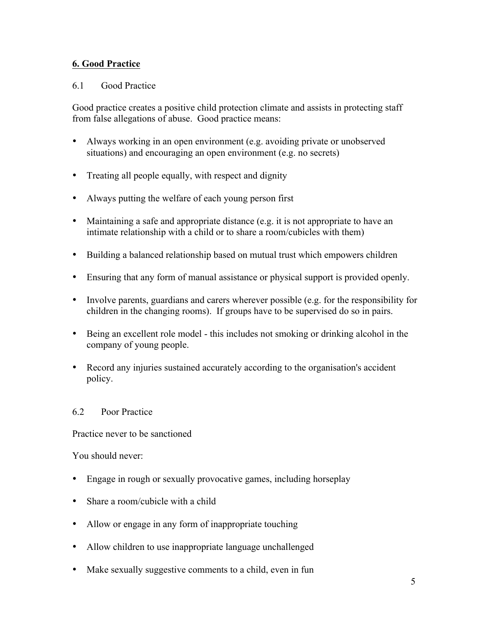#### **6. Good Practice**

#### 6.1 Good Practice

Good practice creates a positive child protection climate and assists in protecting staff from false allegations of abuse. Good practice means:

- Always working in an open environment (e.g. avoiding private or unobserved situations) and encouraging an open environment (e.g. no secrets)
- Treating all people equally, with respect and dignity
- Always putting the welfare of each young person first
- Maintaining a safe and appropriate distance (e.g. it is not appropriate to have an intimate relationship with a child or to share a room/cubicles with them)
- Building a balanced relationship based on mutual trust which empowers children
- Ensuring that any form of manual assistance or physical support is provided openly.
- Involve parents, guardians and carers wherever possible (e.g. for the responsibility for children in the changing rooms). If groups have to be supervised do so in pairs.
- Being an excellent role model this includes not smoking or drinking alcohol in the company of young people.
- Record any injuries sustained accurately according to the organisation's accident policy.

#### 6.2 Poor Practice

Practice never to be sanctioned

You should never:

- Engage in rough or sexually provocative games, including horseplay
- Share a room/cubicle with a child
- Allow or engage in any form of inappropriate touching
- Allow children to use inappropriate language unchallenged
- Make sexually suggestive comments to a child, even in fun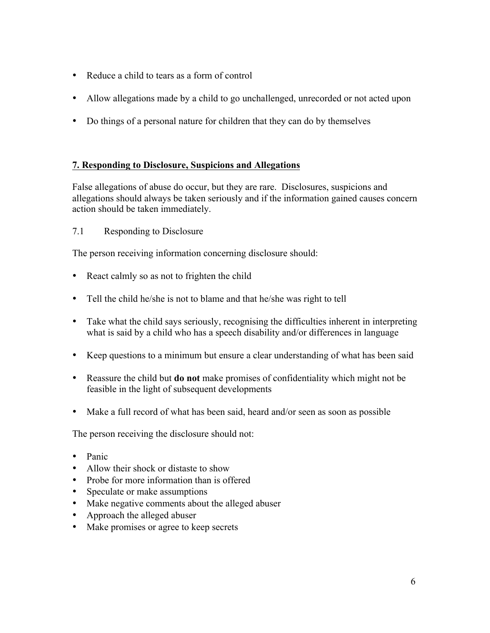- Reduce a child to tears as a form of control
- Allow allegations made by a child to go unchallenged, unrecorded or not acted upon
- Do things of a personal nature for children that they can do by themselves

#### **7. Responding to Disclosure, Suspicions and Allegations**

False allegations of abuse do occur, but they are rare. Disclosures, suspicions and allegations should always be taken seriously and if the information gained causes concern action should be taken immediately.

#### 7.1 Responding to Disclosure

The person receiving information concerning disclosure should:

- React calmly so as not to frighten the child
- Tell the child he/she is not to blame and that he/she was right to tell
- Take what the child says seriously, recognising the difficulties inherent in interpreting what is said by a child who has a speech disability and/or differences in language
- Keep questions to a minimum but ensure a clear understanding of what has been said
- Reassure the child but **do not** make promises of confidentiality which might not be feasible in the light of subsequent developments
- Make a full record of what has been said, heard and/or seen as soon as possible

The person receiving the disclosure should not:

- Panic
- Allow their shock or distaste to show
- Probe for more information than is offered
- Speculate or make assumptions
- Make negative comments about the alleged abuser
- Approach the alleged abuser
- Make promises or agree to keep secrets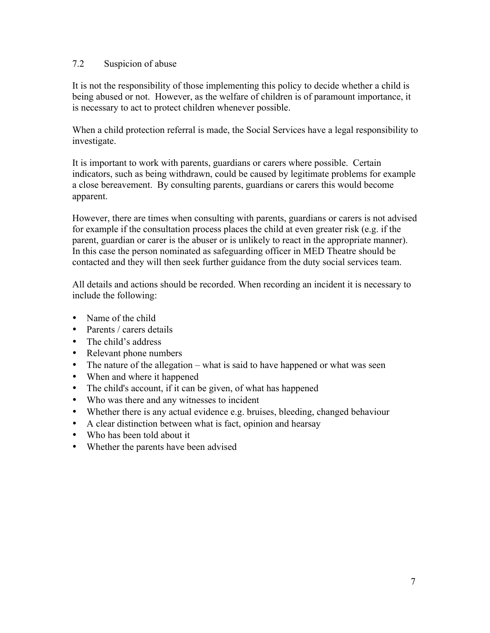#### 7.2 Suspicion of abuse

It is not the responsibility of those implementing this policy to decide whether a child is being abused or not. However, as the welfare of children is of paramount importance, it is necessary to act to protect children whenever possible.

When a child protection referral is made, the Social Services have a legal responsibility to investigate.

It is important to work with parents, guardians or carers where possible. Certain indicators, such as being withdrawn, could be caused by legitimate problems for example a close bereavement. By consulting parents, guardians or carers this would become apparent.

However, there are times when consulting with parents, guardians or carers is not advised for example if the consultation process places the child at even greater risk (e.g. if the parent, guardian or carer is the abuser or is unlikely to react in the appropriate manner). In this case the person nominated as safeguarding officer in MED Theatre should be contacted and they will then seek further guidance from the duty social services team.

All details and actions should be recorded. When recording an incident it is necessary to include the following:

- Name of the child
- Parents / carers details
- The child's address
- Relevant phone numbers
- The nature of the allegation what is said to have happened or what was seen
- When and where it happened
- The child's account, if it can be given, of what has happened
- Who was there and any witnesses to incident
- Whether there is any actual evidence e.g. bruises, bleeding, changed behaviour
- A clear distinction between what is fact, opinion and hearsay
- Who has been told about it
- Whether the parents have been advised